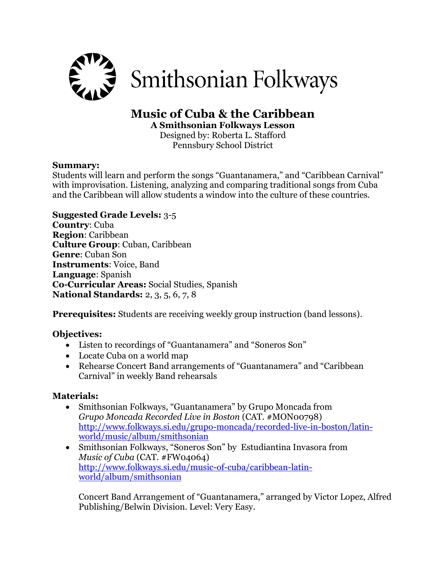

# **Music of Cuba & the Caribbean**

**A Smithsonian Folkways Lesson**

Designed by: Roberta L. Stafford Pennsbury School District

#### **Summary:**

Students will learn and perform the songs "Guantanamera," and "Caribbean Carnival" with improvisation. Listening, analyzing and comparing traditional songs from Cuba and the Caribbean will allow students a window into the culture of these countries.

#### **Suggested Grade Levels:** 3-5

**Country**: Cuba **Region**: Caribbean **Culture Group**: Cuban, Caribbean **Genre**: Cuban Son **Instruments**: Voice, Band **Language**: Spanish **Co-Curricular Areas:** Social Studies, Spanish **National Standards:** 2, 3, 5, 6, 7, 8

**Prerequisites:** Students are receiving weekly group instruction (band lessons).

## **Objectives:**

- Listen to recordings of "Guantanamera" and "Soneros Son"
- Locate Cuba on a world map
- Rehearse Concert Band arrangements of "Guantanamera" and "Caribbean Carnival" in weekly Band rehearsals

#### **Materials:**

- Smithsonian Folkways, "Guantanamera" by Grupo Moncada from *Grupo Moncada Recorded Live in Boston* (CAT. #MON00798) [http://www.folkways.si.edu/grupo-moncada/recorded-live-in-boston/latin](http://www.folkways.si.edu/grupo-moncada/recorded-live-in-boston/latin-world/music/album/smithsonian)[world/music/album/smithsonian](http://www.folkways.si.edu/grupo-moncada/recorded-live-in-boston/latin-world/music/album/smithsonian)
- Smithsonian Folkways, "Soneros Son" by Estudiantina Invasora from *Music of Cuba* (CAT. #FW04064) [http://www.folkways.si.edu/music-of-cuba/caribbean-latin](http://www.folkways.si.edu/music-of-cuba/caribbean-latin-world/album/smithsonian)[world/album/smithsonian](http://www.folkways.si.edu/music-of-cuba/caribbean-latin-world/album/smithsonian)

Concert Band Arrangement of "Guantanamera," arranged by Victor Lopez, Alfred Publishing/Belwin Division. Level: Very Easy.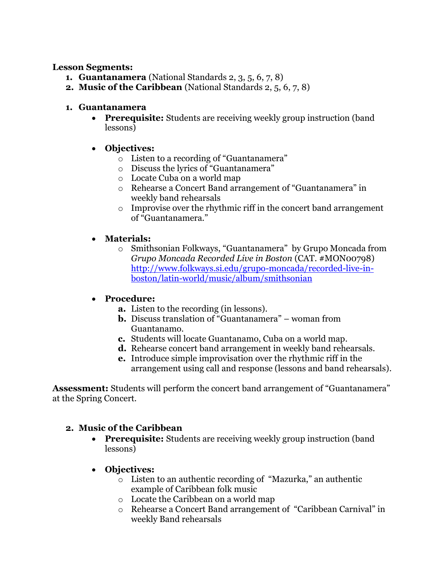#### **Lesson Segments:**

- **1. Guantanamera** (National Standards 2, 3, 5, 6, 7, 8)
- **2. Music of the Caribbean** (National Standards 2, 5, 6, 7, 8)

## **1. Guantanamera**

 **Prerequisite:** Students are receiving weekly group instruction (band lessons)

## **Objectives:**

- o Listen to a recording of "Guantanamera"
- o Discuss the lyrics of "Guantanamera"
- o Locate Cuba on a world map
- o Rehearse a Concert Band arrangement of "Guantanamera" in weekly band rehearsals
- o Improvise over the rhythmic riff in the concert band arrangement of "Guantanamera."

#### **Materials:**

o Smithsonian Folkways, "Guantanamera" by Grupo Moncada from *Grupo Moncada Recorded Live in Boston* (CAT. #MON00798) [http://www.folkways.si.edu/grupo-moncada/recorded-live-in](http://www.folkways.si.edu/grupo-moncada/recorded-live-in-boston/latin-world/music/album/smithsonian)[boston/latin-world/music/album/smithsonian](http://www.folkways.si.edu/grupo-moncada/recorded-live-in-boston/latin-world/music/album/smithsonian)

#### **Procedure:**

- **a.** Listen to the recording (in lessons).
- **b.** Discuss translation of "Guantanamera" woman from Guantanamo.
- **c.** Students will locate Guantanamo, Cuba on a world map.
- **d.** Rehearse concert band arrangement in weekly band rehearsals.
- **e.** Introduce simple improvisation over the rhythmic riff in the arrangement using call and response (lessons and band rehearsals).

**Assessment:** Students will perform the concert band arrangement of "Guantanamera" at the Spring Concert.

## **2. Music of the Caribbean**

- **Prerequisite:** Students are receiving weekly group instruction (band lessons)
- **Objectives:**
	- o Listen to an authentic recording of "Mazurka," an authentic example of Caribbean folk music
	- o Locate the Caribbean on a world map
	- o Rehearse a Concert Band arrangement of "Caribbean Carnival" in weekly Band rehearsals